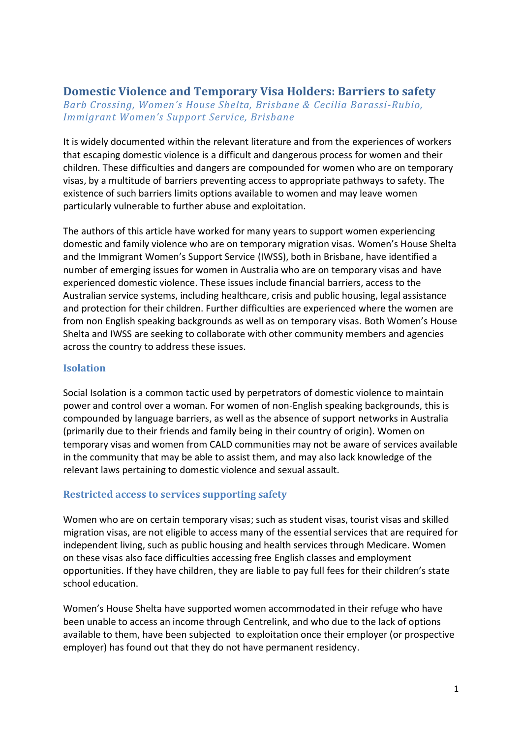# **Domestic Violence and Temporary Visa Holders: Barriers to safety**

*Barb Crossing, Women's House Shelta, Brisbane & Cecilia Barassi-Rubio, Immigrant Women's Support Service, Brisbane*

It is widely documented within the relevant literature and from the experiences of workers that escaping domestic violence is a difficult and dangerous process for women and their children. These difficulties and dangers are compounded for women who are on temporary visas, by a multitude of barriers preventing access to appropriate pathways to safety. The existence of such barriers limits options available to women and may leave women particularly vulnerable to further abuse and exploitation.

The authors of this article have worked for many years to support women experiencing domestic and family violence who are on temporary migration visas. Women's House Shelta and the Immigrant Women's Support Service (IWSS), both in Brisbane, have identified a number of emerging issues for women in Australia who are on temporary visas and have experienced domestic violence. These issues include financial barriers, access to the Australian service systems, including healthcare, crisis and public housing, legal assistance and protection for their children. Further difficulties are experienced where the women are from non English speaking backgrounds as well as on temporary visas. Both Women's House Shelta and IWSS are seeking to collaborate with other community members and agencies across the country to address these issues.

#### **Isolation**

Social Isolation is a common tactic used by perpetrators of domestic violence to maintain power and control over a woman. For women of non-English speaking backgrounds, this is compounded by language barriers, as well as the absence of support networks in Australia (primarily due to their friends and family being in their country of origin). Women on temporary visas and women from CALD communities may not be aware of services available in the community that may be able to assist them, and may also lack knowledge of the relevant laws pertaining to domestic violence and sexual assault.

## **Restricted access to services supporting safety**

Women who are on certain temporary visas; such as student visas, tourist visas and skilled migration visas, are not eligible to access many of the essential services that are required for independent living, such as public housing and health services through Medicare. Women on these visas also face difficulties accessing free English classes and employment opportunities. If they have children, they are liable to pay full fees for their children's state school education.

Women's House Shelta have supported women accommodated in their refuge who have been unable to access an income through Centrelink, and who due to the lack of options available to them, have been subjected to exploitation once their employer (or prospective employer) has found out that they do not have permanent residency.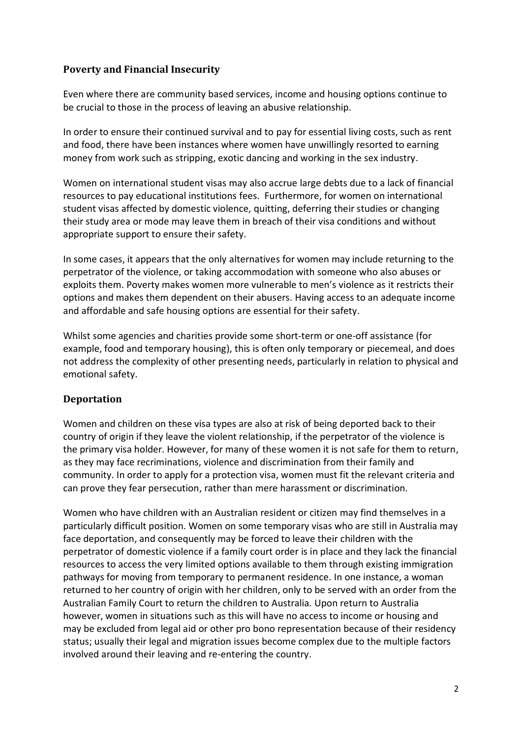## **Poverty and Financial Insecurity**

Even where there are community based services, income and housing options continue to be crucial to those in the process of leaving an abusive relationship.

In order to ensure their continued survival and to pay for essential living costs, such as rent and food, there have been instances where women have unwillingly resorted to earning money from work such as stripping, exotic dancing and working in the sex industry.

Women on international student visas may also accrue large debts due to a lack of financial resources to pay educational institutions fees. Furthermore, for women on international student visas affected by domestic violence, quitting, deferring their studies or changing their study area or mode may leave them in breach of their visa conditions and without appropriate support to ensure their safety.

In some cases, it appears that the only alternatives for women may include returning to the perpetrator of the violence, or taking accommodation with someone who also abuses or exploits them. Poverty makes women more vulnerable to men's violence as it restricts their options and makes them dependent on their abusers. Having access to an adequate income and affordable and safe housing options are essential for their safety.

Whilst some agencies and charities provide some short-term or one-off assistance (for example, food and temporary housing), this is often only temporary or piecemeal, and does not address the complexity of other presenting needs, particularly in relation to physical and emotional safety.

## **Deportation**

Women and children on these visa types are also at risk of being deported back to their country of origin if they leave the violent relationship, if the perpetrator of the violence is the primary visa holder. However, for many of these women it is not safe for them to return, as they may face recriminations, violence and discrimination from their family and community. In order to apply for a protection visa, women must fit the relevant criteria and can prove they fear persecution, rather than mere harassment or discrimination.

Women who have children with an Australian resident or citizen may find themselves in a particularly difficult position. Women on some temporary visas who are still in Australia may face deportation, and consequently may be forced to leave their children with the perpetrator of domestic violence if a family court order is in place and they lack the financial resources to access the very limited options available to them through existing immigration pathways for moving from temporary to permanent residence. In one instance, a woman returned to her country of origin with her children, only to be served with an order from the Australian Family Court to return the children to Australia*.* Upon return to Australia however, women in situations such as this will have no access to income or housing and may be excluded from legal aid or other pro bono representation because of their residency status; usually their legal and migration issues become complex due to the multiple factors involved around their leaving and re-entering the country.